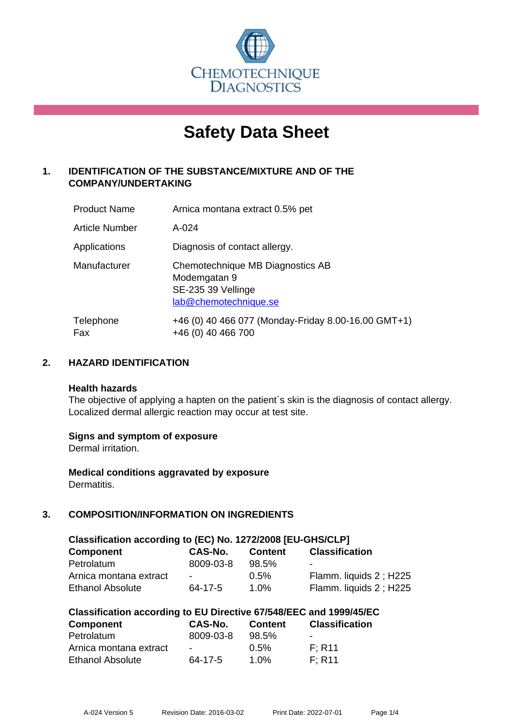

# **Safety Data Sheet**

# **1. IDENTIFICATION OF THE SUBSTANCE/MIXTURE AND OF THE COMPANY/UNDERTAKING**

| <b>Product Name</b>   | Arnica montana extract 0.5% pet                                                                 |
|-----------------------|-------------------------------------------------------------------------------------------------|
| <b>Article Number</b> | A-024                                                                                           |
| Applications          | Diagnosis of contact allergy.                                                                   |
| Manufacturer          | Chemotechnique MB Diagnostics AB<br>Modemgatan 9<br>SE-235 39 Vellinge<br>lab@chemotechnique.se |
| Telephone<br>Fax      | +46 (0) 40 466 077 (Monday-Friday 8.00-16.00 GMT+1)<br>+46 (0) 40 466 700                       |

## **2. HAZARD IDENTIFICATION**

#### **Health hazards**

The objective of applying a hapten on the patient's skin is the diagnosis of contact allergy. Localized dermal allergic reaction may occur at test site.

## **Signs and symptom of exposure**

Dermal irritation.

**Medical conditions aggravated by exposure** Dermatitis.

# **3. COMPOSITION/INFORMATION ON INGREDIENTS**

| Classification according to (EC) No. 1272/2008 [EU-GHS/CLP] |           |                |                        |  |  |
|-------------------------------------------------------------|-----------|----------------|------------------------|--|--|
| <b>Component</b>                                            | CAS-No.   | <b>Content</b> | <b>Classification</b>  |  |  |
| Petrolatum                                                  | 8009-03-8 | 98.5%          | -                      |  |  |
| Arnica montana extract                                      | $\sim$    | $0.5\%$        | Flamm. liquids 2; H225 |  |  |
| <b>Ethanol Absolute</b>                                     | 64-17-5   | 1.0%           | Flamm. liquids 2; H225 |  |  |

| Classification according to EU Directive 67/548/EEC and 1999/45/EC |  |  |  |  |  |
|--------------------------------------------------------------------|--|--|--|--|--|
|--------------------------------------------------------------------|--|--|--|--|--|

| <b>Component</b>       | CAS-No.   | <b>Content</b> | <b>Classification</b>    |
|------------------------|-----------|----------------|--------------------------|
| Petrolatum             | 8009-03-8 | 98.5%          | $\overline{\phantom{a}}$ |
| Arnica montana extract | $\sim$    | $0.5\%$        | F: R11                   |
| Ethanol Absolute       | 64-17-5   | $1.0\%$        | F: R11                   |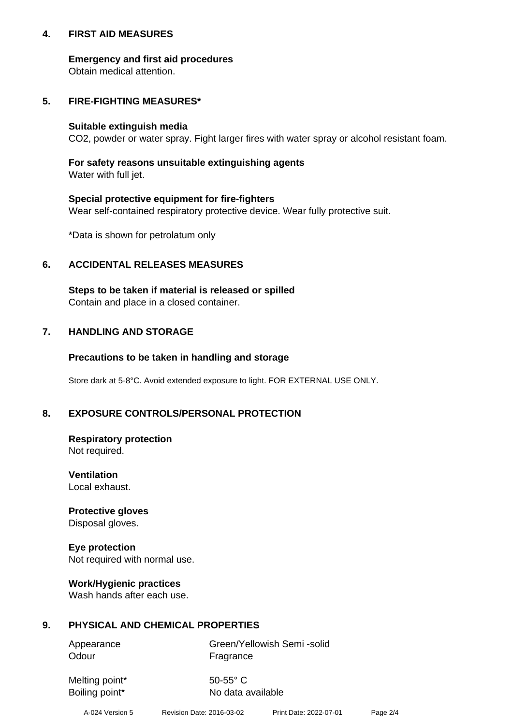## **4. FIRST AID MEASURES**

## **Emergency and first aid procedures**

Obtain medical attention.

## **5. FIRE-FIGHTING MEASURES\***

#### **Suitable extinguish media**

CO2, powder or water spray. Fight larger fires with water spray or alcohol resistant foam.

# **For safety reasons unsuitable extinguishing agents**

Water with full jet.

## **Special protective equipment for fire-fighters**

Wear self-contained respiratory protective device. Wear fully protective suit.

\*Data is shown for petrolatum only

## **6. ACCIDENTAL RELEASES MEASURES**

**Steps to be taken if material is released or spilled** Contain and place in a closed container.

# **7. HANDLING AND STORAGE**

## **Precautions to be taken in handling and storage**

Store dark at 5-8°C. Avoid extended exposure to light. FOR EXTERNAL USE ONLY.

# **8. EXPOSURE CONTROLS/PERSONAL PROTECTION**

#### **Respiratory protection** Not required.

**Ventilation** Local exhaust.

**Protective gloves** Disposal gloves.

# **Eye protection** Not required with normal use.

# **Work/Hygienic practices**

Wash hands after each use.

# **9. PHYSICAL AND CHEMICAL PROPERTIES**

Odour **Fragrance** 

Appearance Green/Yellowish Semi -solid

Melting point\* 50-55° C

Boiling point\* No data available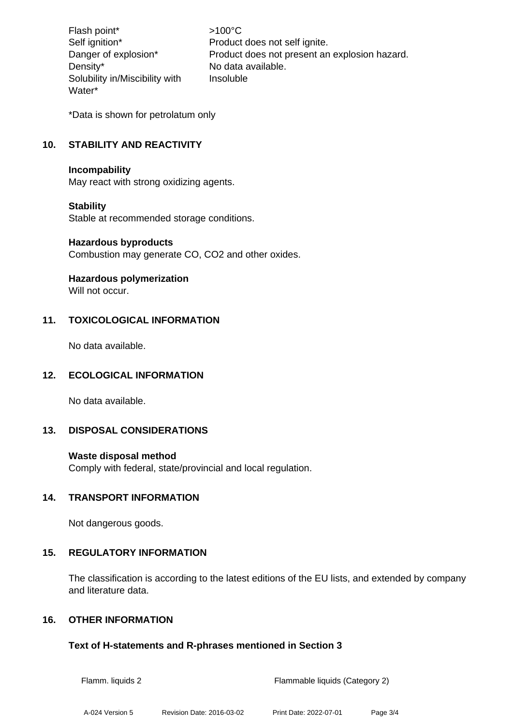Flash point\* >100°C Density\* No data available. Solubility in/Miscibility with Water\*

Self ignition\* Product does not self ignite. Danger of explosion\* Product does not present an explosion hazard. Insoluble

\*Data is shown for petrolatum only

# **10. STABILITY AND REACTIVITY**

#### **Incompability**

May react with strong oxidizing agents.

#### **Stability**

Stable at recommended storage conditions.

#### **Hazardous byproducts**

Combustion may generate CO, CO2 and other oxides.

## **Hazardous polymerization**

Will not occur.

## **11. TOXICOLOGICAL INFORMATION**

No data available.

## **12. ECOLOGICAL INFORMATION**

No data available.

## **13. DISPOSAL CONSIDERATIONS**

#### **Waste disposal method**

Comply with federal, state/provincial and local regulation.

## **14. TRANSPORT INFORMATION**

Not dangerous goods.

## **15. REGULATORY INFORMATION**

The classification is according to the latest editions of the EU lists, and extended by company and literature data.

## **16. OTHER INFORMATION**

#### **Text of H-statements and R-phrases mentioned in Section 3**

Flamm. liquids 2 Flammable liquids (Category 2)